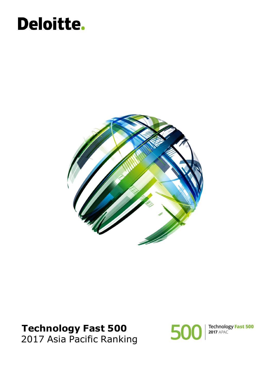## Deloitte.



### **Technology Fast 500** 2017 Asia Pacific Ranking



Technology Fast 500<br>2017 APAC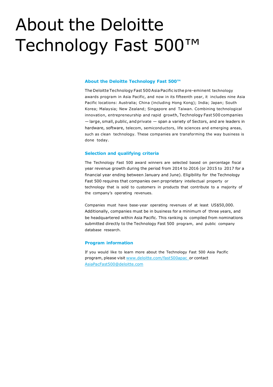## About the Deloitte Technology Fast 500™

#### **About the Deloitte Technology Fast 500™**

The Deloitte Technology Fast 500 Asia Pacific is the pre-eminent technology awards program in Asia Pacific, and now in its fifteenth year, it includes nine Asia Pacific locations: Australia; China (including Hong Kong); India; Japan; South Korea; Malaysia; New Zealand; Singapore and Taiwan. Combining technological innovation, entrepreneurship and rapid growth, Technology Fast 500 companies — large, small, public, and private — span a variety of Sectors, and are leaders in hardware, software, telecom, semiconductors, life sciences and emerging areas, such as clean technology. These companies are transforming the way business is done today.

#### **Selection and qualifying criteria**

The Technology Fast 500 award winners are selected based on percentage fiscal year revenue growth during the period from 2014 to 2016 (or 2015 to 2017 for a financial year ending between January and June). Eligibility for the Technology Fast 500 requires that companies own proprietary intellectual property or technology that is sold to customers in products that contribute to a majority of the company's operating revenues.

Companies must have base-year operating revenues of at least US\$50,000. Additionally, companies must be in business for a minimum of three years, and be headquartered within Asia Pacific. This ranking is compiled from nominations submitted directly to the Technology Fast 500 program, and public company database research.

#### **Program information**

If you would like to learn more about the Technology Fast 500 Asia Pacific program, please visit [www.deloitte.com/fast500apac](http://www.deloitte.com/fast500apac)\_or contact [AsiaPacFast500@deloitte.com](mailto:AsiaPacFast500@deloitte.com)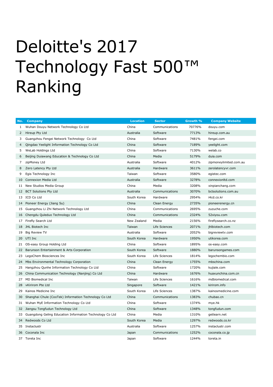# Deloitte's 2017 Technology Fast 500™ Ranking

| No. | <b>Company</b>                                           | <b>Location</b> | <b>Sector</b>  | Growth % | <b>Company Website</b> |
|-----|----------------------------------------------------------|-----------------|----------------|----------|------------------------|
| 1   | Wuhan Douyu Network Technology Co Ltd                    | China           | Communications | 70776%   | douyu.com              |
| 2   | Hireup Pty Ltd                                           | Australia       | Software       | 7713%    | hireup.com.au          |
| 3   | Guangzhou Fengei Network Technology Co Ltd               | China           | Software       | 7481%    | fengei.com             |
| 4   | Qingdao Yeelight Information Technology Co Ltd           | China           | Software       | 7189%    | yeelight.com           |
| 5.  | WeLab Holdings Ltd                                       | China           | Software       | 7130%    | welab.co               |
| 6   | Beijing Duiawang Education & Technology Co Ltd           | China           | Media          | 5179%    | duia.com               |
| 7   | zipMoney Ltd                                             | Australia       | Software       | 4012%    | zipmoneylimited.com.au |
| 8   | Zero Latency Pty Ltd                                     | Australia       | Hardware       | 3611%    | zerolatencyvr.com      |
| 9   | Egis Technology Inc                                      | Taiwan          | Software       | 3580%    | egistec.com            |
| 10  | Connexion Media Ltd                                      | Australia       | Software       | 3278%    | connexionltd.com       |
| 11  | New Studios Media Group                                  | China           | Media          | 3208%    | xinpianchang.com       |
| 12  | <b>BCT Solutions Pty Ltd</b>                             | Australia       | Communications | 3070%    | bctsolutions.com.au    |
| 13  | ICD Co Ltd                                               | South Korea     | Hardware       | 2954%    | i4cd.co.kr             |
| 14  | Pioneer Energy (Jiang Su)                                | China           | Clean Energy   | 2735%    | pioneerenergy.cn       |
| 15  | Guangzhou Li Zhi Network Technology Ltd                  | China           | Communications | 2695%    | zuzuche.com            |
| 16  | Chengdu Quleduo Technology Ltd                           | China           | Communications | 2324%    | 52xiyou.com            |
| 17  | Firefly Search Ltd                                       | New Zealand     | Media          | 2156%    | fireflysearch.co.nz    |
| 18  | JHL Biotech Inc                                          | Taiwan          | Life Sciences  | 2071%    | jhlbiotech.com         |
| 19  | <b>Big Review TV</b>                                     | Australia       | Software       | 2052%    | bigreviewtv.com        |
| 20  | UTI Inc                                                  | South Korea     | Hardware       | 1950%    | utikorea.com           |
| 21  | OS-easy Group Holding Ltd                                | China           | Software       | 1895%    | os-easy.com            |
| 22  | Barunson Entertainment & Arts Corporation                | South Korea     | Software       | 1880%    | barunsongames.com      |
| 23  | LegoChem Biosciences Inc                                 | South Korea     | Life Sciences  | 1814%    | legochembio.com        |
| 24  | Mbs Environmental Technology Corporation                 | China           | Clean Energy   | 1755%    | mbschina.com           |
| 25  | Hangzhou Qunhe Information Technology Co Ltd             | China           | Software       | 1720%    | kujiale.com            |
| 26  | China Communication Technology (Nanjing) Co Ltd          | China           | Hardware       | 1676%    | huaxunchina.com.cn     |
| 27  | <b>MD Biomedical Inc</b>                                 | Taiwan          | Life Sciences  | 1616%    | mdbiomedical.com       |
| 28  | vKirirom Pte Ltd                                         | Singapore       | Software       | 1421%    | kirirom.info           |
| 29  | Kainos Medicine Inc                                      | South Korea     | Life Sciences  | 1387%    | kainosmedicine.com     |
| 30  | Shanghai Chule (CooTek) Information Technology Co Ltd    | China           | Communications | 1383%    | chubao.cn              |
| 31  | Wuhan MyE Information Technology Co Ltd                  | China           | Software       | 1374%    | mye.hk                 |
| 32  | Jiangsu Tongfudun Technology Ltd                         | China           | Software       | 1348%    | tongfudun.com          |
| 33  | Guangdong Geling Education Information Technology Co Ltd | China           | Media          | 1310%    | getlearn.net           |
| 34  | Redwoods Co Ltd                                          | South Korea     | Media          | 1297%    | redwoods.co.kr         |
|     | 35 Instaclustr                                           | Australia       | Software       | 1257%    | instaclustr.com        |
| 36  | Coconala Inc                                             | Japan           | Communications | 1252%    | coconala.co.jp         |
|     | 37 Toreta Inc                                            | Japan           | Software       | 1244%    | toreta.in              |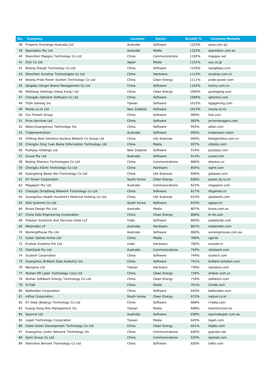| No. | <b>Company</b>                                     | <b>Location</b> | <b>Sector</b>  | Growth % | <b>Company Website</b>              |
|-----|----------------------------------------------------|-----------------|----------------|----------|-------------------------------------|
| 38  | Property Exchange Australia Ltd                    | Australia       | Software       | 1233%    | pexa.com.au                         |
| 39  | Sparesbox Pty Ltd                                  | Australia       | Media          | 1223%    | sparesbox.com.au                    |
| 40  | Shenzhen Mapgoo Technology Co Ltd                  | China           | Communications | 1182%    | mapgoo.net                          |
| 41  | ZUU Co Ltd                                         | Japan           | Media          | 1151%    | zuu.co.jp                           |
| 42  | Beijing Wangli Technology Co Ltd                   | China           | Software       | 1145%    | wanglibao.com                       |
| 43  | Shenzhen Sundray Technologies Co Ltd               | China           | Hardware       | 1112%    | sundray.com.cn                      |
| 44  | Beijing Pride Power System Technology Co Ltd       | China           | Clean Energy   | 1111%    | pride-power.com                     |
| 45  | Qingdao Hongni Brand Management Co Ltd             | China           | Software       | 1103%    | honny.com.cn                        |
| 46  | WeiGang Holdings (Hong Kong) Ltd                   | China           | Clean Energy   | 1090%    | gzweigang.com                       |
| 47  | Chengdu Ophylink Software Co Ltd                   | China           | Software       | 1058%    | ophylink.com                        |
| 48  | TIGA Gaming Inc                                    | Taiwan          | Software       | 1015%    | tigagaming.com                      |
| 49  | Moola.co.nz Ltd                                    | New Zealand     | Software       | 1013%    | moola.co.nz                         |
| 50  | Fox Fintech Group                                  | China           | Software       | 989%     | huli.com                            |
| 51  | Prive Services Ltd                                 | China           | Software       | 982%     | privemanagers.com                   |
| 52  | Aiitec (Guangzhou) Technology Inc                  | China           | Software       | 955%     | aiitec.com                          |
| 53  | TrademarkVision                                    | Australia       | Software       | 950%     | trademark.vision                    |
| 54  | Chifeng Best Genetics Nucleus Biotech Co Group Ltd | China           | Life Sciences  | 940%     | bestgenetics.com.cn                 |
| 55  | Chengdu Ding Yuan Baina Information Technology Ltd | China           | Media          | 937%     | cddybn.com                          |
| 56  | Pushpay Holdings Ltd                               | New Zealand     | Software       | 914%     | pushpay.com                         |
| 57  | Zuuse Pty Ltd                                      | Australia       | Software       | 914%     | zuuse.com                           |
| 58  | Beijing Shareco Technologies Co Ltd                | China           | Communications | 886%     | shareco.cn                          |
| 59  | Chengdu XGimi Technology Co Ltd                    | China           | Hardware       | 854%     | xgimi.com                           |
| 60  | Guangdong Bawei Bio-Technology Co Ltd              | China           | Life Sciences  | 840%     | gzbawei.com                         |
| 61  | DY Power Corporation                               | South Korea     | Clean Energy   | 826%     | power.dy.co.kr                      |
| 62  | Megaport Pty Ltd                                   | Australia       | Communications | 822%     | megaport.com                        |
| 63  | Chengdu Droidhang Network Technology Co Ltd        | China           | Software       | 817%     | dhgames.cn                          |
| 64  | Guangzhou Health Hundred's Medicine Holding Co Ltd | China           | Life Sciences  | 815%     | jianbaishi.com                      |
| 65  | SGA Systems Co Ltd                                 | South Korea     | Software       | 810%     | sgasys.kr                           |
| 66  | Brosa Design Pty Ltd                               | Australia       | Media          | 807%     | brosa.com.au                        |
| 67  | China Kide Engineering Corporation                 | China           | Clean Energy   | 806%     | ki-de.com                           |
|     | Polestar Solutions And Services India LLP          | India           | Software       | 805%     |                                     |
| 68  | Metamako LP                                        | Australia       | Hardware       | 801%     | polestarllp.com                     |
| 69  | WorkingMouse Pty Ltd                               |                 |                |          | metamako.com<br>workingmouse.com.au |
| 70  |                                                    | Australia       | Software       | 800%     |                                     |
| 71  | Cyber Games Arena Ltd                              | China           | Media          | 786%     | cga.hk                              |
|     | 72 Evolute Systems Pvt Ltd                         | India           | Hardware       | 760%     | evolute.in                          |
| 73  | ClickSend Pty Ltd                                  | Australia       | Communications | 745%     | clicksend.com                       |
| 74  | Scutech Corporation                                | China           | Software       | 744%     | scutech.com                         |
| 75  | Guangzhou Brilliant Data Analytics Inc             | China           | Software       | 741%     | brilliant-solution.com              |
| 76  | Nanoplus Ltd                                       | Taiwan          | Hardware       | 739%     | nanoplus.com                        |
| 77  | Wuhan DR Laser Technology Corp Ltd                 | China           | Clean Energy   | 734%     | drlaser.com.cn                      |
| 78  | Wuhan Solfatech Energy Technology Co Ltd           | China           | Clean Energy   | 718%     | solfatech.com                       |
| 79  | 51Talk                                             | China           | Media          | 701%     | 51talk.com                          |
| 80  | Baifendian Corporation                             | China           | Software       | 693%     | baifendian.com                      |
| 81  | mPlus Corporation                                  | South Korea     | Clean Energy   | 672%     | mplusi.co.kr                        |
| 82  | R7 Data (Beijing) Technology Co Ltd                | China           | Software       | 668%     | r7data.com                          |
| 83  | Kuang Hong Arts Management Inc                     | Taiwan          | Media          | 668%     | khamInccom.tw                       |
| 84  | Squirrel Ltd                                       | Australia       | Software       | 658%     | squirrelsuper.com.au                |
| 85  | Logah Technology Corporation                       | Taiwan          | Media          | 649%     | logah.com                           |
| 86  | Hubei Green Development Technology Co Ltd          | China           | Clean Energy   | 641%     | hbjdtc.com                          |
| 87  | Guangzhou Junbo Network Technology Inc             | China           | Communications | 640%     | gzjunbo.net                         |
| 88  | Ejam Group Co Ltd                                  | China           | Communications | 635%     | ejamad.com                          |
| 89  | Shenzhen Bincent Technology Co Ltd                 | China           | Software       | 620%     | to8to.com                           |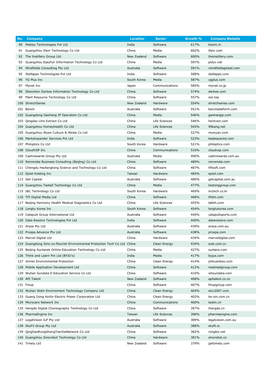| No. | <b>Company</b>                                                            | <b>Location</b> | <b>Sector</b>  | Growth % | <b>Company Website</b> |
|-----|---------------------------------------------------------------------------|-----------------|----------------|----------|------------------------|
| 90  | Mobisy Technologies Pvt Ltd                                               | India           | Software       | 617%     | bizom.in               |
|     | 91 Guangzhou Ifanr Technology Co Ltd                                      | China           | Media          | 602%     | ifanr.com              |
|     | 92 The Instillery Group Ltd                                               | New Zealand     | Software       | 600%     | theinstillery.com      |
| 93  | Guangzhou Easyfun Information Technology Co Ltd                           | China           | Media          | 597%     | polyv.net              |
| 94  | Mindfields Consulting Pty Ltd                                             | Australia       | Software       | 591%     | mindfieldsglobal.com   |
| 95  | Stellapps Technologies Pvt Ltd                                            | India           | Software       | 588%     | stellapps.com          |
|     | 96 YG Plus Inc                                                            | South Korea     | Media          | 587%     | ygplus.com             |
| 97  | Mynet Inc                                                                 | Japan           | Communications | 585%     | mynet.co.jp            |
| 98  | Shenzhen Derkee Information Technology Co Ltd                             | China           | Software       | 574%     | derkee.com             |
| 99  | Plant Resource Technology Co Ltd                                          | China           | Software       | 557%     | wiz.top                |
|     | 100 StretchSense                                                          | New Zealand     | Hardware       | 554%     | stretchsense.com       |
|     | 101 Bench                                                                 | Australia       | Software       | 551%     | benchplatform.com      |
|     | 102 Guangdong Gaohang IP Operation Co Ltd                                 | China           | Media          | 546%     | gaohangip.com          |
|     | 103 Qingdao Lihe Extract Co Ltd                                           | China           | Life Sciences  | 546%     | hextract.com           |
|     | 104 Guangzhou Homeyhealth Co Ltd                                          | China           | Life Sciences  | 545%     | 99kang.net             |
|     | 105 Guangzhou Wyan Culture & Media Co Ltd                                 | China           | Media          | 527%     | mywyan.com             |
|     | 106 Marketxpander Services Pvt Ltd                                        | India           | Software       | 523%     | leadsquared.com        |
|     | 107 Philoptics Co Ltd                                                     | South Korea     | Hardware       | 521%     | philoptics.com         |
|     | 108 CloudVSP Inc                                                          | China           | Communications | 510%     | cloudvsp.com           |
|     | 109 Cashrewards Group Pty Ltd                                             | Australia       | Media          | 490%     | cashrewards.com.au     |
|     | 110 Renrendai Business Consulting (Beijing) Co Ltd                        | China           | Software       | 489%     | renrendai.com          |
|     | 111 Chengdu Haofangtong Science and Technology Co Ltd                     | China           | Software       | 487%     | hftsoft.com            |
|     | 112 Episil Holding Inc                                                    | Taiwan          | Hardware       | 484%     | episil.com             |
|     | 113 Get Capital                                                           | Australia       | Software       | 480%     | getcapital.com.au      |
|     | 114 Guangzhou Taotall Technology Co Ltd                                   | China           | Media          | 477%     | taotonggroup.com       |
|     | 115 I&C Technology Co Ltd                                                 | South Korea     | Hardware       | 469%     | inctech.co.kr          |
|     | 116 TFI Digital Media Ltd                                                 | China           | Software       | 468%     | tfidm.com              |
|     | 117 Beijing Harmony Health Medical Diagnostics Co Ltd                     | China           | Life Sciences  | 455%     | labhh.com              |
|     | 118 Longtu Korea Inc                                                      | South Korea     | Software       | 454%     | longtukorea.com        |
|     | 119 Catapult Group International Ltd                                      | Australia       | Software       | 440%     | catapultsports.com     |
|     | 120 Data Resolve Technologies Pvt Ltd                                     | India           | Software       | 440%     | dataresolve.com        |
|     | 121 Araza Pty Ltd                                                         | Australia       | Software       | 439%     | araza.com.au           |
|     | 122 Prospa Advance Pty Ltd                                                | Australia       | Software       | 438%     | prospa.com             |
|     | 123 Marvel Digital Ltd                                                    | China           | Hardware       | 434%     | marveldigital.com      |
|     | 124 Guangdong Sino-co-flourish Environmental Protection Tech Co Ltd China |                 | Clean Energy   | 434%     | scet.com.cn            |
|     | 125 Beijing Sunlands Online Education Technology Co Ltd                   | China           | Media          | 427%     | sunlans.com            |
|     | 126 Think and Learn Pvt Ltd (BYJU's)                                      | India           | Media          | 417%     | byjus.com              |
|     | 127 Jinmei Environmental Protection                                       | China           | Clean Energy   | 414%     | jmhuanbao.com          |
|     | 128 Mobile Application Development Ltd                                    | China           | Software       | 412%     | madmadgroup.com        |
|     | 129 Wuhan Sundata E-Education Service Co Ltd                              | China           | Software       | 410%     | whsundata.com          |
|     | 130 API Talent                                                            | New Zealand     | Software       | 408%     | apitalent.co.nz        |
|     | 131 Finup                                                                 | China           | Software       | 407%     | finupgroup.com         |
|     | 132 Wuhan Stdm Environment Technology Company Ltd                         | China           | Clean Energy   | 404%     | stcc2007.com           |
|     | 133 Guang Dong KeXin Electric Power Corporation Ltd                       | China           | Clean Energy   | 402%     | ke-xin.com.cn          |
|     | 134 Microcare Network Inc                                                 | China           | Communications | 400%     | testin.cn              |
|     | 135 Hengde Digital Choreography Technology Co Ltd                         | China           | Software       | 397%     | ihengde.cn             |
|     | 136 PharmaEngine Inc                                                      | Taiwan          | Life Sciences  | 396%     | pharmaengine.com       |
|     | 137 LegalVision ILP Pty Ltd                                               | Australia       | Software       | 389%     | legalvision.com.au     |
|     | 138 SkyFii Group Pty Ltd                                                  | Australia       | Software       | 388%     | skyfii.io              |
|     | 139 QingDaoRongShangTianXiaNetwork Co Ltd                                 | China           | Software       | 382%     | rongbiz.net            |
|     | 140 Guangzhou Sinorobot Technology Co Ltd                                 | China           | Hardware       | 381%     | sinorobot.co           |
|     | 141 Timely Ltd                                                            | New Zealand     | Software       | 379%     | gettimely.com          |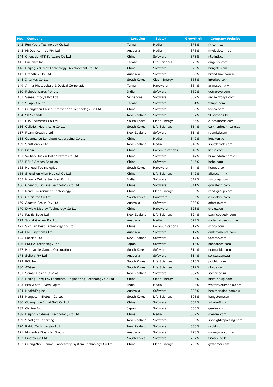| No. | <b>Company</b>                                               | <b>Location</b> | <b>Sector</b>  | Growth % | <b>Company Website</b>  |
|-----|--------------------------------------------------------------|-----------------|----------------|----------|-------------------------|
|     | 142 Fun Yours Technology Co Ltd                              | Taiwan          | Media          | 375%     | fy.com.tw               |
|     | 143 MyDeal.com.au Pty Ltd                                    | Australia       | Media          | 375%     | mydeal.com.au           |
|     | 144 Chengdu NTS Software Co Ltd                              | China           | Software       | 373%     | nts-intl.com            |
|     | 145 EirGenix Inc                                             | Taiwan          | Life Sciences  | 370%     | eirgenix.com            |
|     | 146 Beijing YpGreat Technology Development Co Ltd            | China           | Software       | 370%     | bangcle.com             |
|     | 147 Brandlink Pty Ltd                                        | Australia       | Software       | 369%     | brand-link.com.au       |
|     | 148 Interkos Co Ltd                                          | South Korea     | Clean Energy   | 368%     | interkos.co.kr          |
|     | 149 Arima Photovoltaic & Optical Corporation                 | Taiwan          | Hardware       | 364%     | arima.com.tw            |
|     | 150 Robotic Wares Pvt Ltd                                    | India           | Software       | 362%     | getfareye.com           |
|     | 151 Sense Infosys Pvt Ltd                                    | Singapore       | Software       | 362%     | senseinfosys.com        |
|     | 152 91App Co Ltd                                             | Taiwan          | Software       | 361%     | 91app.com               |
|     | 153 Guangzhou Faisco Internet and Technology Co Ltd          | China           | Software       | 360%     | faisco.com              |
|     | 154 90 Seconds                                               | New Zealand     | Software       | 357%     | 90seconds.tv            |
|     | 155 Clio Cosmetics Co Ltd                                    | South Korea     | Clean Energy   | 356%     | cliocosmetic.com        |
|     | 156 Celltrion Healthcare Co Ltd                              | South Korea     | Life Sciences  | 354%     | celltrionhealthcare.com |
|     | 157 Roam Creative Ltd                                        | New Zealand     | Software       | 354%     | roamltd.com             |
|     | 158 Guangzhou Longkom Advertising Co Ltd                     | China           | Media          | 349%     | longkom.cn              |
|     | 159 Shuttlerock Ltd                                          | New Zealand     | Media          | 349%     | shuttlerock.com         |
|     | 160 Liepin                                                   | China           | Communications | 349%     | liepin.com              |
|     | 161 Wuhan Huaxin Data System Co Ltd                          | China           | Software       | 347%     | huaxindata.com.cn       |
|     | 162 BEHE Adtech Solution                                     | China           | Software       | 346%     | behe.com                |
|     | 163 Huneed Technologies                                      | South Korea     | Hardware       | 344%     | huneed.com              |
|     | 164 Shenzhen Alicn Medical Co Ltd                            | China           | Life Sciences  | 342%     | alicn.com.hk            |
|     | 165 Nreach Online Services Pvt Ltd                           | India           | Software       | 342%     | xoxoday.com             |
|     | 166 Chengdu Gowins Technology Co Ltd                         | China           | Software       | 341%     | gdwstech.com            |
|     | 167 Road Environment Technology                              | China           | Clean Energy   | 339%     | road-group.com          |
|     | 168 Crucialtec Co Ltd                                        | South Korea     | Hardware       | 336%     | crucialtec.com          |
|     | 169 Adactin Group Pty Ltd                                    | Australia       | Software       | 333%     | adactin.com             |
|     | 170 D-View Display Technology Co Ltd                         | China           | Hardware       | 328%     | d-view.cn               |
|     | 171 Pacific Edge Ltd                                         | New Zealand     | Life Sciences  | 324%     | pacificedgedx.com       |
|     | 172 Social Garden Pty Ltd                                    | Australia       | Media          | 324%     | socialgarden.com.au     |
|     | 173 Sichuan Best Technology Co Ltd                           | China           | Communications | 319%     | scqcp.com               |
|     | 174 EML Payments Ltd                                         | Australia       | Software       | 317%     | emlpayments.com         |
|     | 175 FaceMe Ltd                                               | New Zealand     | Software       | 317%     | faceme.com              |
|     | 176 PKSHA Technology Inc                                     | Japan           | Software       | 315%     | pkshatech.com           |
|     | 177 Netmarble Games Corporation                              | South Korea     | Software       | 314%     | netmarble.com           |
|     | 178 Solista Pty Ltd                                          | Australia       | Software       | 314%     | solista.com.au          |
|     | 179 PCL Inc                                                  | South Korea     | Life Sciences  | 313%     | pclchip.com             |
|     | 180 ATGen                                                    | South Korea     | Life Sciences  | 312%     | nkvue.com               |
|     | 181 Somar Design Studios                                     | New Zealand     | Software       | 307%     | somar.co.nz             |
|     | 182 Beijing Bhzg Environmental Engineering Technology Co Ltd | China           | Clean Energy   | 306%     | bhzq-bewq.com           |
|     | 183 M/s White Rivers Digital                                 | India           | Media          | 305%     | whiteriversmedia.com    |
|     | 184 HealthEngine                                             | Australia       | Software       | 305%     | healthengine.com.au     |
|     | 185 Kangstem Biotech Co Ltd                                  | South Korea     | Life Sciences  | 305%     | kangstem.com            |
|     | 186 Guangzhou Juhai Soft Co Ltd                              | China           | Software       | 304%     | juhaisoft.com           |
|     | 187 Geniee Inc                                               | Japan           | Software       | 303%     | geniee.co.jp            |
|     | 188 Beijing Zhidemai Technology Co Ltd                       | China           | Media          | 302%     | smzdm.com               |
|     | 189 Spotlight Reporting                                      | New Zealand     | Software       | 300%     |                         |
|     |                                                              |                 |                |          | spotlightreporting.com  |
|     | 190 Rabid Technologies Ltd                                   | New Zealand     | Software       | 300%     | rabid.co.nz             |
|     | 191 MoneyMe Financial Group                                  | Australia       | Software       | 298%     | moneyme.com.au          |
|     | 192 Finotek Co Ltd                                           | South Korea     | Software       | 297%     | finotek.co.kr           |
|     | 193 GuangZhou Fanmei Laboratory System Technology Co Ltd     | China           | Clean Energy   | 295%     | gzfanmei.com            |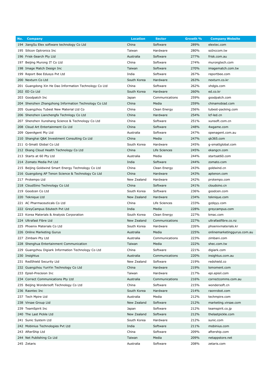| No. | <b>Company</b>                                         | <b>Location</b> | <b>Sector</b>  | Growth % | <b>Company Website</b>      |
|-----|--------------------------------------------------------|-----------------|----------------|----------|-----------------------------|
|     | 194 JiangSu Elex software technology Co Ltd            | China           | Software       | 289%     | elextec.com                 |
|     | 195 Silicon Optronics Inc                              | Taiwan          | Hardware       | 280%     | soInccom.tw                 |
|     | 196 Frisk-Search Pty Ltd                               | Australia       | Software       | 277%     | frisk.com.au                |
|     | 197 Beijing Murong IT Co Ltd                           | China           | Software       | 274%     | murongtech.com              |
|     | 198 Image Match Design Inc                             | Taiwan          | Software       | 270%     | imagematch.com.tw           |
|     | 199 Report Bee Edusys Pvt Ltd                          | India           | Software       | 267%     | reportbee.com               |
|     | 200 Nexturn Co Ltd                                     | South Korea     | Hardware       | 263%     | nexturn.co.kr               |
|     | 201 Guangdong Xin He Dao Information Technology Co Ltd | China           | Software       | 262%     | xhdgis.com                  |
|     | 202 ED Co Ltd                                          | South Korea     | Hardware       | 260%     | ed.co.kr                    |
|     | 203 Goodpatch Inc                                      | Japan           | Communications | 259%     | goodpatch.com               |
|     | 204 Shenzhen Zhangzhong Information Technology Co Ltd  | China           | Media          | 259%     | chinamobiad.com             |
|     | 205 Guangzhou Tubest New Material Ltd Co               | China           | Clean Energy   | 256%     | tubest-packing.com          |
|     | 206 Shenzhen Lianchengfa Technlogy Co Ltd              | China           | Hardware       | 254%     | Icf-led.cn                  |
|     | 207 Shenzhen Xunshang Science & Technology Co Ltd      | China           | Software       | 251%     | xunsoft.com.cn              |
|     | 208 Cloud Art Entertainment Co Ltd                     | China           | Software       | 248%     | 4wgame.com                  |
|     | 209 OpenAgent Pty Ltd                                  | Australia       | Software       | 247%     | openagent.com.au            |
|     | 210 Shanghai Q&K Investment Consulting Co Ltd          | China           | Media          | 247%     | qk365.com                   |
|     | 211 G-Smatt Global Co Ltd                              | South Korea     | Hardware       | 245%     | g-smattglobal.com           |
|     | 212 Ekang Cloud Health Technology Co Ltd               | China           | Life Sciences  | 245%     | ekangcn.com                 |
|     | 213 Starts at 60 Pty Ltd                               | Australia       | Media          | 244%     | startsat60.com              |
|     | 214 Zomato Media Pvt Ltd                               | India           | Software       | 244%     | zomato.com                  |
|     | 215 Beijing Goldwind Smart Energy Technology Co Ltd    | China           | Clean Energy   | 243%     | goldwind.cn                 |
|     | 216 Guangdong AP Tenon Science & Technology Co Ltd     | China           | Hardware       | 243%     | aptenon.com                 |
|     | 217 Protempo Ltd                                       | New Zealand     | Hardware       | 242%     | protempo.com                |
|     | 218 CloudSino Technology Co Ltd                        | China           | Software       | 241%     | cloudsino.cn                |
|     | 219 Goodcen Co Ltd                                     | South Korea     | Software       | 236%     | goodcen.com                 |
|     | 220 Teknique Ltd                                       | New Zealand     | Hardware       | 234%     | teknique.com                |
|     | 221 AC Pharmaceuticals Co Ltd                          | China           | Life Sciences  | 233%     | gzdqyy.com                  |
|     | 222 GreyCampus Edutech Pvt Ltd                         | India           | Media          | 228%     | greycampus.com              |
|     | 223 Korea Materials & Analysis Corporation             | South Korea     | Clean Energy   | 227%     | kmac.com                    |
|     | 224 Ultrafast Fibre Ltd                                | New Zealand     | Communications | 227%     | ultrafastfibre.co.nz        |
|     | 225 Phoenix Materials Co Ltd                           | South Korea     | Hardware       | 226%     | phoenixmaterials.kr         |
|     | 226 Online Marketing Gurus                             | Australia       | Media          | 225%     | onlinemarketinggurus.com.au |
|     | 227 Zimbani Pty Ltd                                    | Australia       | Communications | 223%     | zimbani.com                 |
|     | 228 Shenghua Entertainment Communication               | Taiwan          | Media          | 222%     | shec.com.tw                 |
|     | 229 Guangzhou Digiark Information Technology Co Ltd    | China           | Software       | 221%     | digiark.com                 |
|     | 230 Insightus                                          | Australia       | Communications | 220%     | insightus.com.au            |
|     | 231 RedShield Security Ltd                             | New Zealand     | Software       | 219%     | redshield.co                |
|     | 232 Guangzhou YunYin Technology Co Ltd                 | China           | Hardware       | 219%     | lomoment.com                |
|     | 233 Episil-Precision Inc                               | Taiwan          | Hardware       | 217%     | epi.episil.com              |
|     | 234 Correct Communications Pty Ltd                     | Australia       | Communications | 216%     | correctcomms.com.au         |
|     | 235 Beijing Wondersoft Technology Co Ltd               | China           | Software       | 215%     | wondersoft.cn               |
|     | 236 Raontec Inc                                        | South Korea     | Hardware       | 214%     | raonrobot.com               |
|     | 237 Tech Mpire Ltd                                     | Australia       | Media          | 212%     | techmpire.com               |
|     | 238 Virsae Group Ltd                                   | New Zealand     | Software       | 212%     | marketing.virsae.com        |
|     | 239 TeamSpirit Inc                                     | Japan           | Software       | 212%     | teamspirit.co.jp            |
|     | 240 The Last Pickle Ltd                                | New Zealand     | Software       | 212%     | thelastpickle.com           |
|     | 241 Sunic System Ltd                                   | South Korea     | Hardware       | 212%     | sunic.com                   |
|     | 242 Mobinius Technologies Pvt Ltd                      | India           | Software       | 211%     | mobinius.com                |
|     | 243 AfterShip Ltd                                      | China           | Software       | 209%     | aftership.com               |
|     | 244 Net Publishing Co Ltd                              | Taiwan          | Media          | 209%     | netappstore.net             |
|     | 245 Zetaris                                            | Australia       | Software       | 208%     | zetaris.com                 |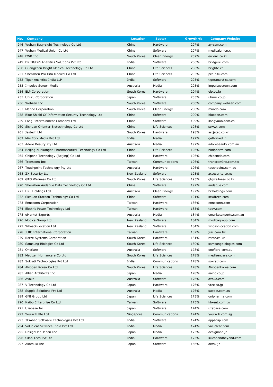| No. | <b>Company</b>                                         | <b>Location</b> | <b>Sector</b>  | Growth % | <b>Company Website</b> |
|-----|--------------------------------------------------------|-----------------|----------------|----------|------------------------|
|     | 246 Wuhan Easy-sight Technology Co Ltd                 | China           | Hardware       | 207%     | zy-cam.com             |
|     | 247 Wuhan Medical Union Co Ltd                         | China           | Software       | 207%     | medicalunion.cn        |
|     | 248 EWK Inc                                            | South Korea     | Clean Energy   | 207%     | ewkinc.co.kr           |
|     | 249 BRIDGEI2i Analytics Solutions Pvt Ltd              | India           | Software       | 206%     | bridgei2i.com          |
|     | 250 Guangzhou Bright Medical Technology Co Ltd         | China           | Life Sciences  | 206%     | brighte.cn             |
|     | 251 Shenzhen Pro Hitu Medical Co Ltd                   | China           | Life Sciences  | 205%     | pro-hifu.com           |
|     | 252 Tiger Analytics India LLP                          | India           | Software       | 205%     | tigeranalytics.com     |
|     | 253 Impulse Screen Media                               | Australia       | Media          | 205%     | impulsescreen.com      |
|     | 254 ELP Corporation                                    | South Korea     | Hardware       | 204%     | elp.co.kr              |
|     | 255 Uhuru Corporation                                  | Japan           | Software       | 203%     | uhuru.co.jp            |
|     | 256 Webzen Inc                                         | South Korea     | Software       | 200%     | company.webzen.com     |
|     | 257 Mando Corporation                                  | South Korea     | Clean Energy   | 200%     | mando.com              |
|     | 258 Blue Shield Of Information Security Technology Ltd | China           | Software       | 200%     | bluedon.com            |
|     | 259 Long Entertainment Company Ltd                     | China           | Software       | 199%     | ilongyuan.com.cn       |
|     | 260 Sichuan Orienter Biotechnology Co Ltd              | China           | Life Sciences  | 198%     | scwwt.com              |
|     | 261 Jastech Ltd                                        | South Korea     | Hardware       | 198%     | astjetec.co.kr         |
|     | 262 M/s Fork Media Pvt Ltd                             | India           | Media          | 197%     | getforked.in           |
|     | 263 Adore Beauty Pty Ltd                               | Australia       | Media          | 197%     | adorebeauty.com.au     |
|     | 264 Beijing Nuokangda Pharmaceutical Technology Co Ltd | China           | Life Sciences  | 196%     | nkdpharm.com           |
|     | 265 Chipone Technology (Beijing) Co Ltd                | China           | Hardware       | 196%     | chiponeic.com          |
|     | 266 Transcom Inc                                       | Taiwan          | Communications | 196%     | transcomInc.com.tw     |
|     | 267 Touchpoint Technology Pty Ltd                      | Australia       | Hardware       | 196%     | touchpoint.com.au      |
|     | 268 ZX Security Ltd                                    | New Zealand     | Software       | 195%     | zxsecurity.co.nz       |
|     | 269 GTG Wellness Co Ltd                                | South Korea     | Life Sciences  | 193%     | gtgwellness.co.kr      |
|     | 270 Shenzhen Audaque Data Technology Co Ltd            | China           | Software       | 192%     | audaque.com            |
|     | 271 HRL Holdings Ltd                                   | Australia       | Clean Energy   | 192%     | hrlholdings.com        |
|     | 272 Sichuan Stardon Technology Co Ltd                  | China           | Software       | 191%     | scxdtech.com           |
|     | 273 Ennoconn Corporation                               | Taiwan          | Hardware       | 186%     | ennoconn.com           |
|     | 274 Electric Power Technology Ltd                      | Taiwan          | Hardware       | 185%     | tpev.com               |
|     | 275 eMarket Experts                                    | Australia       | Media          | 184%     | emarketexperts.com.au  |
|     | 276 Modica Group Ltd                                   | New Zealand     | Software       | 184%     | modicagroup.com        |
|     | 277 WhosOnLocation Ltd                                 | New Zealand     | Software       | 184%     | whosonlocation.com     |
|     | 278 JUIC International Corporation                     | Taiwan          | Hardware       | 182%     | juic.com.tw            |
|     | 279 Rorze Systems Corporation                          | South Korea     | Hardware       | 181%     | rorze.co.kr            |
|     | 280 Samsung Biologics Co Ltd                           | South Korea     | Life Sciences  | 180%     | samsungbiologics.com   |
|     | 281 Oneflare                                           | Australia       | Software       | 178%     | oneflare.com.au        |
|     | 282 Medizen Humancare Co Ltd                           | South Korea     | Life Sciences  | 178%     | medizencare.com        |
|     | 283 Sokrati Technologies Pvt Ltd                       | India           | Communications | 178%     | sokrati.com            |
|     | 284 Alvogen Korea Co Ltd                               | South Korea     | Life Sciences  | 178%     | Alvogenkorea.com       |
|     | 285 Allied Architects Inc                              | Japan           | Media          | 178%     | aainc.co.jp            |
|     | 286 Avoka                                              | Australia       | Software       | 176%     | avoka.com              |
|     | 287 V Technology Co Ltd                                | Japan           | Hardware       | 176%     | vtec.co.jp             |
|     | 288 Supple Solutions Pty Ltd                           | Australia       | Media          | 176%     | supple.com.au          |
|     | 289 GNI Group Ltd                                      | Japan           | Life Sciences  | 175%     | gnipharma.com          |
|     | 290 Kaibo Enterprise Co Ltd                            | Taiwan          | Software       | 175%     | kb-ent.com.tw          |
|     | 291 Uzabase Inc                                        | Japan           | Software       | 174%     | uzabase.com            |
|     | 292 Yourwifi Pte Ltd                                   | Singapore       | Communications | 174%     | yourwifi.com.sg        |
|     | 293 3Embed Software Technologies Pvt Ltd               | India           | Software       | 174%     | appscrip.com           |
|     | 294 Valueleaf Services India Pvt Ltd                   | India           | Media          | 174%     | valueleaf.com          |
|     | 295 DesignOne Japan Inc                                | Japan           | Media          | 173%     | designone.jp           |
|     | 296 Silab Tech Pvt Ltd                                 | India           | Hardware       | 173%     | siliconandbeyond.com   |
|     | 297 Akatsuki Inc                                       | Japan           | Software       | 166%     | aktsk.jp               |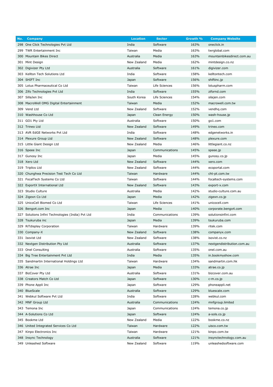| No. | <b>Company</b>                                    | <b>Location</b> | <b>Sector</b>  | Growth % | <b>Company Website</b>     |
|-----|---------------------------------------------------|-----------------|----------------|----------|----------------------------|
|     | 298 One Click Technologies Pvt Ltd                | India           | Software       | 163%     | oneclick.in                |
|     | 299 TWR Entertainment Inc                         | Taiwan          | Media          | 163%     | twrglobal.com              |
|     | 300 Mountain Bikes Direct                         | Australia       | Media          | 163%     | mountainbikesdirect.com.au |
|     | 301 Mint Design                                   | New Zealand     | Media          | 162%     | mintdesign.co.nz           |
|     | 302 Digivizer Pty Ltd                             | Australia       | Software       | 161%     | digivizer.com              |
|     | 303 Kellton Tech Solutions Ltd                    | India           | Software       | 158%     | kelltontech.com            |
|     | 304 SHIFT Inc                                     | Japan           | Software       | 156%     | shiftinc.jp                |
|     | 305 Lotus Pharmaceutical Co Ltd                   | Taiwan          | Life Sciences  | 156%     | lotuspharm.com             |
|     | 306 Zifo Technologies Pvt Ltd                     | India           | Software       | 155%     | zifornd.com                |
|     | 307 SillaJen Inc                                  | South Korea     | Life Sciences  | 154%     | silajen.com                |
|     | 308 MacroWell OMG Digital Entertainment           | Taiwan          | Media          | 152%     | macrowell.com.tw           |
|     | 309 Vend Ltd                                      | New Zealand     | Software       | 152%     | vendhq.com                 |
|     | 310 Washhouse Co Ltd                              | Japan           | Clean Energy   | 150%     | wash-house.jp              |
|     | 311 GO1 Pty Ltd                                   | Australia       | Software       | 150%     | go1.com                    |
|     | 312 Trineo Ltd                                    | New Zealand     | Software       | 149%     | trineo.com                 |
|     | 313 AVR EdGE Networks Pvt Ltd                     | India           | Software       | 148%     | edgenetworks.in            |
|     | 314 Plexure Group Ltd                             | New Zealand     | Software       | 148%     | plexure.com                |
|     | 315 Little Giant Design Ltd                       | New Zealand     | Media          | 146%     | littlegiant.co.nz          |
|     | 316 Speee Inc                                     | Japan           | Communications | 145%     | speee.jp                   |
|     | 317 Gunosy Inc                                    | Japan           | Media          | 145%     | gunosy.co.jp               |
|     | 318 Xero Ltd                                      | New Zealand     | Software       | 144%     | xero.com                   |
|     | 319 Triplics Ltd                                  | New Zealand     | Software       | 144%     | ecoportal.com              |
|     | 320 Chunghwa Precision Test Tech Co Ltd           | Taiwan          | Hardware       | 144%     | cht-pt.com.tw              |
|     | 321 FocalTech Systems Co Ltd                      | Taiwan          | Software       | 144%     | focaltech-systems.com      |
|     | 322 ExportX International Ltd                     | New Zealand     | Software       | 143%     | export-x.com               |
|     | 323 Studio Culture                                | Australia       | Media          | 142%     | studio-culture.com.au      |
|     | 324 Zigexn Co Ltd                                 | Japan           | Media          | 142%     | zigexn.co.jp               |
|     | 325 UnicoCell Biomed Co Ltd                       | Taiwan          | Life Sciences  | 141%     | unicocell.com              |
|     | 326 Bengo4.com Inc                                | Japan           | Media          | 140%     | corporate.bengo4.com       |
|     | 327 Solutions Infini Technologies (India) Pvt Ltd | India           | Communications | 139%     | solutionsinfini.com        |
|     | 328 Tsukuruba inc                                 | Japan           | Media          | 139%     | tsukuruba.com              |
|     | 329 RiTdisplay Corporation                        | Taiwan          | Hardware       | 139%     | ritek.com                  |
|     | 330 Company-X                                     | New Zealand     | Software       | 138%     | companyx.com               |
|     | 331 Isovist Ltd                                   | New Zealand     | Software       | 138%     | isovist.co.nz              |
|     | 332 Nextgen Distribution Pty Ltd                  | Australia       | Software       | 137%     | nextgendistribution.com.au |
|     | 333 Onel Consulting                               | Australia       | Software       | 135%     | onel.com.au                |
|     | 334 Big Tree Entertainment Pvt Ltd                | India           | Media          | 135%     | in.bookmyshow.com          |
|     | 335 Sandmartin International Holdings Ltd         | Taiwan          | Hardware       | 134%     | sandmartin.com.hk          |
|     | 336 Atrae Inc                                     | Japan           | Media          | 133%     | atrae.co.jp                |
|     | 337 BizCover Pty Ltd                              | Australia       | Software       | 131%     | bizcover.com.au            |
|     | 338 Creators Match Co Ltd                         | Japan           | Software       | 130%     | c-m.co.jp                  |
|     | 339 Phone Appli Inc                               | Japan           | Software       | 129%     | phoneappli.net             |
|     | 340 BlueScale                                     | Australia       | Software       | 129%     | bluescale.com              |
|     | 341 Webkul Software Pvt Ltd                       | India           | Software       | 128%     | webkul.com                 |
|     | 342 MNF Group Ltd                                 | Australia       | Communications | 124%     | mnfgroup.limited           |
|     | 343 Temona Inc                                    | Japan           | Communications | 124%     | temona.co.jp               |
|     | 344 A-Solutions Co Ltd                            | Japan           | Software       | 124%     | a-sols.co.jp               |
|     | 345 Bookme Ltd                                    | New Zealand     | Media          | 122%     | bookme.co.nz               |
|     | 346 United Integrated Services Co Ltd             | Taiwan          | Hardware       | 122%     | uisco.com.tw               |
|     | 347 Kinpo Electronics Inc                         | Taiwan          | Hardware       | 121%     | kinpo.com.tw               |
|     | 348 Insync Technology                             | Australia       | Software       | 121%     | insynctechnology.com.au    |
|     | 349 Unleashed Software                            | New Zealand     | Software       | 119%     | unleashedsoftware.com      |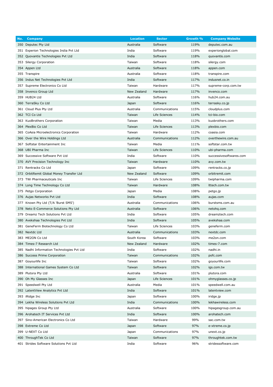| No. | <b>Company</b>                             | <b>Location</b> | <b>Sector</b>  | Growth % | <b>Company Website</b>  |
|-----|--------------------------------------------|-----------------|----------------|----------|-------------------------|
|     | 350 Deputec Pty Ltd                        | Australia       | Software       | 119%     | deputec.com.au          |
|     | 351 Experion Technologies India Pvt Ltd    | India           | Software       | 119%     | experionglobal.com      |
|     | 352 Quovantis Technologies Pvt Ltd         | India           | Software       | 118%     | quovantis.com           |
|     | 353 Silergy Corporation                    | Taiwan          | Software       | 118%     | silergy.com             |
|     | 354 Appen Ltd                              | Australia       | Software       | 118%     | appen.com               |
|     | 355 Transpire                              | Australia       | Software       | 118%     | transpire.com           |
|     | 356 Indus Net Technologies Pvt Ltd         | India           | Software       | 117%     | indusnet.co.in          |
|     | 357 Supreme Electronics Co Ltd             | Taiwan          | Hardware       | 117%     | supreme-corp.com.tw     |
|     | 358 Invenco Group Ltd                      | New Zealand     | Hardware       | 117%     | invenco.com             |
|     | 359 HUB24 Ltd                              | Australia       | Software       | 116%     | hub24.com.au            |
|     | 360 TerraSky Co Ltd                        | Japan           | Software       | 116%     | terrasky.co.jp          |
|     | 361 Cloud Plus Pty Ltd                     | Australia       | Communications | 115%     | cloudplus.com           |
|     | 362 TCI Co Ltd                             | Taiwan          | Life Sciences  | 114%     | tci-bio.com             |
|     | 363 KuoBrothers Corporation                | Taiwan          | Media          | 113%     | kuobrothers.com         |
|     | 364 PlexBio Co Ltd                         | Taiwan          | Life Sciences  | 113%     | plexbio.com             |
|     | 365 CoAsia Microelectronics Corporation    | Taiwan          | Hardware       | 112%     | coasia.com              |
|     | 366 Over the Wire Holdings Ltd             | Australia       | Communications | 112%     | overthewire.com.au      |
|     | 367 Softstar Entertainment Inc             | Taiwan          | Media          | 111%     | softstar.com.tw         |
|     | 368 UBI Pharma Inc                         | Taiwan          | Life Sciences  | 110%     | ubi-pharma.com          |
|     | 369 Successive Software Pvt Ltd            | India           | Software       | 110%     | successivesoftwares.com |
|     | 370 AVY Precision Technology Inc           | Taiwan          | Hardware       | 110%     | avy.com.tw              |
|     | 371 Rentracks Co Ltd                       | Japan           | Software       | 109%     | rentracks.co.jp         |
|     | 372 OrbitRemit Global Money Transfer Ltd   | New Zealand     | Software       | 109%     | orbitremit.com          |
|     | 373 TWi Pharmaceuticals Inc                | Taiwan          | Life Sciences  | 109%     | twipharma.com           |
|     | 374 Long Time Technology Co Ltd            | Taiwan          | Hardware       | 108%     | Ittech.com.tw           |
|     | 375 Petgo Corporation                      | Japan           | Media          | 108%     | petgo.jp                |
|     | 376 Aujas Networks Pvt Ltd                 | India           | Software       | 108%     | aujas.com               |
|     | 377 Known Pty Ltd (T/A 'Burst SMS')        | Australia       | Communications | 106%     | burstsms.com.au         |
|     | 378 Neto E-Commerce Solutions Pty Ltd      | Australia       | Software       | 106%     | netohq.com              |
|     | 379 Dreamz Tech Solutions Pvt Ltd          | India           | Software       | 105%     | dreamztech.com          |
|     | 380 Avekshaa Technologies Pvt Ltd          | India           | Software       | 105%     | avekshaa.com            |
|     | 381 GeneFerm Biotechnology Co Ltd          | Taiwan          | Life Sciences  | 103%     | geneferm.com            |
|     | 382 Nextdc Ltd                             | Australia       | Communications | 103%     | nextdc.com              |
|     | 383 ME2ON Co Ltd                           | South Korea     | Software       | 103%     | me2on.com               |
|     | 384 Times-7 Research Ltd                   | New Zealand     | Hardware       | 102%     | times-7.com             |
|     | 385 Nadhi Information Technologies Pvt Ltd | India           | Software       | 102%     | nadhi.in                |
|     | 386 Success Prime Corporation              | Taiwan          | Communications | 102%     | pofc.com                |
|     | 387 Goyourlife Inc                         | Taiwan          | Software       | 102%     | goyourlife.com          |
|     | 388 International Games System Co Ltd      | Taiwan          | Software       | 102%     | igs.com.tw              |
|     | 389 Plutora Pty Ltd                        | Australia       | Software       | 101%     | plutora.com             |
|     | 390 Oh My Glasses Inc                      | Japan           | Life Sciences  | 101%     | ohmyglasses.co.jp       |
|     | 391 Speedwell Pty Ltd                      | Australia       | Media          | 101%     | speedwell.com.au        |
|     | 392 LatentView Analytics Pvt Ltd           | India           | Software       | 101%     | latentview.com          |
|     | 393 iRidge Inc                             | Japan           | Software       | 100%     | iridge.jp               |
|     | 394 Lekha Wireless Solutions Pvt Ltd       | India           | Communications | 100%     | lekhawireless.com       |
|     | 395 hipages Group Pty Ltd                  | Australia       | Software       | 100%     | hipagesgroup.com.au     |
|     | 396 Arohatech IT Services Pvt Ltd          | India           | Software       | 100%     | arohatech.com           |
|     | 397 Sino-American Electronics Co Ltd       | Taiwan          | Hardware       | 99%      | sac.com.tw              |
|     | 398 Extreme Co Ltd                         | Japan           | Software       | 97%      | e-xtreme.co.jp          |
|     | 399 U-NEXT Co Ltd                          | Japan           | Communications | 97%      | unext.co.jp             |
|     | 400 ThroughTek Co Ltd                      | Taiwan          | Software       | 97%      | throughtek.com.tw       |
|     | 401 Strides Software Solutions Pvt Ltd     | India           | Software       | 96%      | stridessoftware.com     |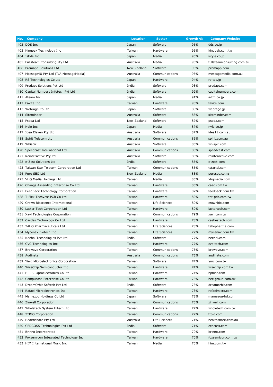| No. | <b>Company</b>                           | <b>Location</b> | <b>Sector</b>  | Growth % | <b>Company Website</b>     |
|-----|------------------------------------------|-----------------|----------------|----------|----------------------------|
|     | 402 DDS Inc                              | Japan           | Software       | 96%      | dds.co.jp                  |
|     | 403 Kingpak Technology Inc               | Taiwan          | Hardware       | 96%      | kingpak.com.tw             |
|     | 404 Istyle Inc                           | Japan           | Media          | 95%      | istyle.co.jp               |
|     | 405 Fullsteam Consulting Pty Ltd         | Australia       | Media          | 95%      | fullsteamconsulting.com.au |
|     | 406 Promapp Solutions Ltd                | New Zealand     | Software       | 95%      | promapp.com                |
|     | 407 Message4U Pty Ltd (T/A MessageMedia) | Australia       | Communications | 95%      | messagemedia.com.au        |
|     | 408 RS Technologies Co Ltd               | Japan           | Hardware       | 94%      | rs-tec.jp                  |
|     | 409 Prodapt Solutions Pvt Ltd            | India           | Software       | 93%      | prodapt.com                |
|     | 410 Capital Numbers Infotech Pvt Ltd     | India           | Software       | 92%      | capitalnumbers.com         |
|     | 411 Ateam Inc                            | Japan           | Media          | 91%      | a-tm.co.jp                 |
|     | 412 Favite Inc                           | Taiwan          | Hardware       | 90%      | favite.com                 |
|     | 413 Webrage Co Ltd                       | Japan           | Software       | 88%      | webrage.jp                 |
|     | 414 Siteminder                           | Australia       | Software       | 88%      | siteminder.com             |
|     | 415 Psoda Ltd                            | New Zealand     | Software       | 87%      | psoda.com                  |
|     | 416 Nyle Inc                             | Japan           | Media          | 87%      | nyle.co.jp                 |
|     | 417 Idea Eleven Pty Ltd                  | Australia       | Software       | 87%      | idea11.com.au              |
|     | 418 Spirit Telecom Ltd                   | Australia       | Communications | 86%      | spirit.com.au              |
|     | 419 Whispir                              | Australia       | Software       | 85%      | whispir.com                |
|     | 420 Speedcast International Ltd          | Australia       | Communications | 85%      | speedcast.com              |
|     | 421 Reinteractive Pty Itd                | Australia       | Software       | 85%      | reinteractive.com          |
|     | 422 e-Zest Solutions Ltd                 | India           | Software       | 85%      | e-zest.com                 |
|     | 423 Taiwan Star Telecom Corporation Ltd  | Taiwan          | Communications | 85%      | tstartel.com               |
|     | 424 Pure SEO Ltd                         | New Zealand     | Media          | 83%      | pureseo.co.nz              |
|     | 425 VHQ Media Holdings Ltd               | Taiwan          | Media          | 83%      | vhqmedia.com               |
|     | 426 Changs Ascending Enterprise Co Ltd   | Taiwan          | Hardware       | 83%      | caec.com.tw                |
|     | 427 FeedBack Technology Corporation      | Taiwan          | Hardware       | 82%      | feedback.com.tw            |
|     | 428 T-Flex Techvest PCB Co Ltd           | Taiwan          | Hardware       | 82%      | tht-pcb.com.tw             |
|     | 429 Crown Bioscience International       | Taiwan          | Life Sciences  | 80%      | crownbio.com               |
|     | 430 Laster Tech Corporation Ltd          | Taiwan          | Hardware       | 80%      | lastertech.com             |
|     | 431 Xavi Technologies Corporation        | Taiwan          | Communications | 79%      | xavi.com.tw                |
|     | 432 Castles Technology Co Ltd            | Taiwan          | Hardware       | 78%      | castlestech.com            |
|     | 433 TAHO Pharmaceuticals Ltd             | Taiwan          | Life Sciences  | 78%      | tahopharma.com             |
|     | 434 Mycenax Biotech Inc                  | Taiwan          | Life Sciences  | 77%      | mycenax.com.tw             |
|     | 435 Neebal Technologies Pvt Ltd          | India           | Software       | 77%      | neebal.com                 |
|     | 436 CVC Technologies Inc                 | Taiwan          | Hardware       | 77%      | cvc-tech.com               |
|     | 437 Browave Corporation                  | Taiwan          | Communications | 75%      | browave.com                |
|     | 438 Audinate                             | Australia       | Communications | 75%      | audinate.com               |
|     | 439 Yield Microelectronics Corporation   | Taiwan          | Software       | 74%      | ymc.com.tw                 |
|     | 440 WiseChip Semiconductor Inc           | Taiwan          | Hardware       | 74%      | wisechip.com.tw            |
|     | 441 H.P.B. Optoelectronics Co Ltd        | Taiwan          | Hardware       | 74%      | hpbint.com                 |
|     | 442 Compucase Enterprise Co Ltd          | Taiwan          | Hardware       | 73%      | hec-group.com.tw           |
|     | 443 DreamOrbit Softech Pvt Ltd           | India           | Software       | 73%      | dreamorbit.com             |
|     | 444 Rafael Microelectronics Inc          | Taiwan          | Hardware       | 73%      | rafaelmicro.com            |
|     | 445 Mamezou Holdings Co Ltd              | Japan           | Software       | 73%      | mamezou-hd.com             |
|     | 446 Zinwell Corporation                  | Taiwan          | Communications | 73%      | zinwell.com                |
|     | 447 Wholetech System Hitech Ltd          | Taiwan          | Hardware       | 72%      | wholetech.com.tw           |
|     | 448 TTBIO Corporation                    | Taiwan          | Communications | 72%      | ttbio.com                  |
|     | 449 Healthshare Pty Ltd                  | Australia       | Life Sciences  | 71%      | healthshare.com.au         |
|     | 450 CEDCOSS Technologies Pvt Ltd         | India           | Software       | 71%      | cedcoss.com                |
|     | 451 Brinno Incorporated                  | Taiwan          | Hardware       | 70%      | brinno.com                 |
|     | 452 Foxsemicon Integrated Technology Inc | Taiwan          | Hardware       | 70%      | foxsemicon.com.tw          |
|     | 453 HIM International Music Inc          | Taiwan          | Media          | 70%      | him.com.tw                 |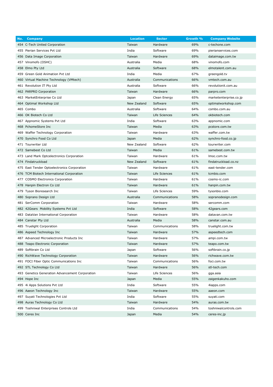| No.<br><b>Company</b>                           | <b>Location</b> | <b>Sector</b>  | Growth % | <b>Company Website</b> |
|-------------------------------------------------|-----------------|----------------|----------|------------------------|
| 454 C-Tech United Corporation                   | Taiwan          | Hardware       | 69%      | c-techone.com          |
| 455 Pierian Services Pvt Ltd                    | India           | Software       | 69%      | pierianservices.com    |
| 456 Data Image Corporation                      | Taiwan          | Hardware       | 69%      | dataimage.com.tw       |
| 457 Vinomofo (OSHC)                             | Australia       | Media          | 68%      | vinomofo.com           |
| 458 Elmo Pty Ltd                                | Australia       | Software       | 68%      | elmotalent.com.au      |
| 459 Green Gold Animation Pvt Ltd                | India           | Media          | 67%      | greengold.tv           |
| 460 Virtual Machine Technology (VMtech)         | Australia       | Communications | 66%      | vmtech.com.au          |
| 461 Revolution IT Pty Ltd                       | Australia       | Software       | 66%      | revolutionit.com.au    |
| 462 PARPRO Corporation                          | Taiwan          | Hardware       | 66%      | parpro.com             |
| 463 MarketEnterprise Co Ltd                     | Japan           | Clean Energy   | 65%      | marketenterprise.co.jp |
| 464 Optimal Workshop Ltd                        | New Zealand     | Software       | 65%      | optimalworkshop.com    |
| 465 Combo                                       | Australia       | Software       | 64%      | combo.com.au           |
| 466 OK Biotech Co Ltd                           | Taiwan          | Life Sciences  | 64%      | okbiotech.com          |
| 467 Appnomic Systems Pvt Ltd                    | India           | Software       | 63%      | appnomic.com           |
| 468 PchomeStore Inc                             | Taiwan          | Media          | 63%      | pcstore.com.tw         |
| 469 Waffer Technology Corporation               | Taiwan          | Hardware       | 63%      | waffer.com.tw          |
| 470 Synchro Food Co Ltd                         | Japan           | Media          | 62%      | synchro-food.co.jp     |
| 471 Tourwriter Ltd                              | New Zealand     | Software       | 62%      | tourwriter.com         |
| 472 Samebest Co Ltd                             | Taiwan          | Media          | 61%      | samebest.com.tw        |
| 473 Land Mark Optcelectronics Corporation       | Taiwan          | Hardware       | 61%      | Imoc.com.tw            |
| 474 Findatruckload                              | New Zealand     | Software       | 61%      | findatruckload.co.nz   |
| 475 East Tender Optoelectronics Corporation     | Taiwan          | Hardware       | 61%      | east-tender.com        |
| 476 TCM Biotech International Corporation       | Taiwan          | Life Sciences  | 61%      | tcmbio.com             |
| 477 COSMO Electronics Corporation               | Taiwan          | Hardware       | 61%      | cosmo-ic.com           |
| 478 Hanpin Electron Co Ltd                      | Taiwan          | Hardware       | 61%      | hanpin.com.tw          |
| 479 Tyson Bioresearch Inc                       | Taiwan          | Life Sciences  | 59%      | tysonbio.com           |
| 480 Soprano Design Ltd                          | Australia       | Communications | 58%      | sopranodesign.com      |
| 481 SerComm Corporation                         | Taiwan          | Hardware       | 58%      | sercomm.com            |
| 482 42Gears Mobility Systems Pvt Ltd            | India           | Software       | 58%      | 42gears.com            |
| 483 DataVan International Corporation           | Taiwan          | Hardware       | 58%      | datavan.com.tw         |
| 484 Canstar Pty Ltd                             | Australia       | Media          | 58%      | canstar.com.au         |
| 485 Truelight Corporation                       | Taiwan          | Communications | 58%      | truelight.com.tw       |
| 486 Aspeed Technology Inc                       | Taiwan          | Hardware       | 57%      | aspeedtech.com         |
| 487 Advanced Microelectronic Products Inc       | Taiwan          | Hardware       | 57%      | ampi.com.tw            |
| 488 Teapo Electronic Corporation                | Taiwan          | Hardware       | 57%      | teapo.com.tw           |
| 489 Softbrain Co Ltd                            | Japan           | Software       | 56%      | softbrain.co.jp        |
| 490 RichWave Technology Corporation             | Taiwan          | Hardware       | 56%      | richwave.com.tw        |
| 491 FOCI Fiber Optic Communications Inc         | Taiwan          | Communications | 56%      | foci.com.tw            |
| 492 STL Technology Co Ltd                       | Taiwan          | Hardware       | 56%      | stl-tech.com           |
| 493 Genetics Generation Advancement Corporation | Taiwan          | Life Sciences  | 56%      | gga.asia               |
| 494 Hope Inc                                    | Japan           | Media          | 55%      | zaigenkakuho.com       |
| 495 4i Apps Solutions Pvt Ltd                   | India           | Software       | 55%      | 4iapps.com             |
| 496 Aaeon Technology Inc                        | Taiwan          | Hardware       | 55%      | aaeon.com              |
| 497 Suyati Technologies Pvt Ltd                 | India           | Software       | 55%      | suyati.com             |
| 498 Auras Technology Co Ltd                     | Taiwan          | Hardware       | 54%      | auras.com.tw           |
| 499 Toshniwal Enterprises Controls Ltd          | India           | Communications | 54%      | toshniwalcontrols.com  |
| 500 Ceres Inc                                   | Japan           | Media          | 54%      | ceres-inc.jp           |